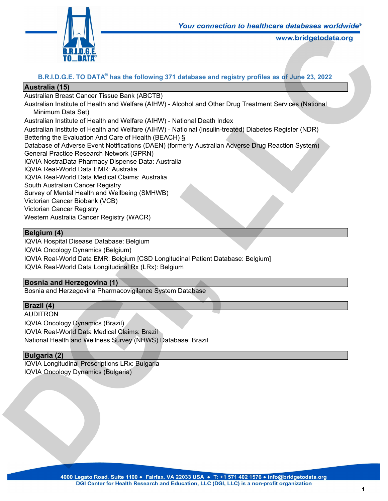

# **B.R.I.D.G.E. TO DATA® has the following 371 database and registry profiles as of June 23, 2022**

### **Australia (15)**

Australian Breast Cancer Tissue Bank (ABCTB)

Australian Institute of Health and Welfare (AIHW) - Alcohol and Other Drug Treatment Services (National Minimum Data Set) **Latabase and registry profiles as of June 23, 2022<br>
Latabase and registry profiles as of June 23, 2022<br>
Lookol and Other Drug Treatment Services (National<br>
Lational Death Index<br>
S<sub>a</sub><br>
S<sub>a</sub> Sa Company Australian Adverse Dr** 

Australian Institute of Health and Welfare (AIHW) - National Death Index

Australian Institute of Health and Welfare (AIHW) - Natio nal (insulin-treated) Diabetes Register (NDR) Bettering the Evaluation And Care of Health (BEACH) §

Database of Adverse Event Notifications (DAEN) (formerly Australian Adverse Drug Reaction System) General Practice Research Network (GPRN)

IQVIA NostraData Pharmacy Dispense Data: Australia

IQVIA Real-World Data EMR: Australia

IQVIA Real-World Data Medical Claims: Australia

South Australian Cancer Registry

Survey of Mental Health and Wellbeing (SMHWB)

Victorian Cancer Biobank (VCB)

Victorian Cancer Registry

Western Australia Cancer Registry (WACR)

#### **Belgium (4)**

IQVIA Hospital Disease Database: Belgium IQVIA Oncology Dynamics (Belgium) IQVIA Real-World Data EMR: Belgium [CSD Longitudinal Patient Database: Belgium] IQVIA Real-World Data Longitudinal Rx (LRx): Belgium

### **Bosnia and Herzegovina (1)**

Bosnia and Herzegovina Pharmacovigilance System Database

### **Brazil (4)**

AUDITRON IQVIA Oncology Dynamics (Brazil) IQVIA Real-World Data Medical Claims: Brazil National Health and Wellness Survey (NHWS) Database: Brazil Idvin Real-World Data Euric: Beigium [CSD Longitudinal Patient Database: Be<br>IQVIA Real-World Data Longitudinal Rx (LRy): Belgium<br>**Bosnia and Herzegovina (1)**<br>**Bosnia and Herzegovina Pharmacovigilance System Database**<br>**Braz** 

#### **Bulgaria (2)**

IQVIA Longitudinal Prescriptions LRx: Bulgaria IQVIA Oncology Dynamics (Bulgaria)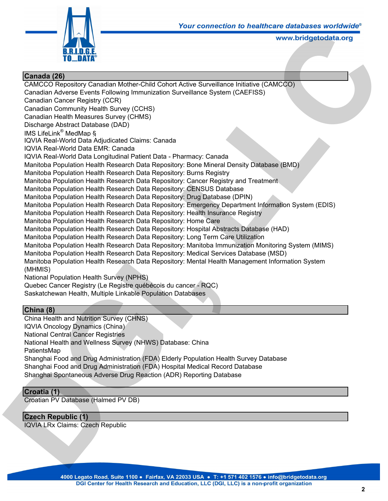

# **Canada (26)** CAMCCO Repository Canadian Mother-Child Cohort Active Surveillance Initiative (CAMCCO) Canadian Adverse Events Following Immunization Surveillance System (CAEFISS) Canadian Cancer Registry (CCR) Canadian Community Health Survey (CCHS) Canadian Health Measures Survey (CHMS) Discharge Abstract Database (DAD) IMS LifeLink® MedMap § IQVIA Real-World Data Adjudicated Claims: Canada IQVIA Real-World Data EMR: Canada IQVIA Real-World Data Longitudinal Patient Data - Pharmacy: Canada Manitoba Population Health Research Data Repository: Bone Mineral Density Database (BMD) Manitoba Population Health Research Data Repository: Burns Registry Manitoba Population Health Research Data Repository: Cancer Registry and Treatment Manitoba Population Health Research Data Repository: CENSUS Database Manitoba Population Health Research Data Repository: Drug Database (DPIN) Manitoba Population Health Research Data Repository: Emergency Department Information System (EDIS) Manitoba Population Health Research Data Repository: Health Insurance Registry Manitoba Population Health Research Data Repository: Home Care Manitoba Population Health Research Data Repository: Hospital Abstracts Database (HAD) Manitoba Population Health Research Data Repository: Long Term Care Utilization Manitoba Population Health Research Data Repository: Manitoba Immunization Monitoring System (MIMS) Manitoba Population Health Research Data Repository: Medical Services Database (MSD) Manitoba Population Health Research Data Repository: Mental Health Management Information System (MHMIS) National Population Health Survey (NPHS) Quebec Cancer Registry (Le Registre québécois du cancer - RQC) Saskatchewan Health, Multiple Linkable Population Databases **Law Connection to healthcare dialogues worntwide**<br> **Law Connection Constantine (CAMCCO)**<br>
Active Surveillance System (CAEFISS)<br>
Active Surveillance System (CAEFISS)<br>
2: Burns Registry<br>
2: Cancer Registry and Treatment<br>
2:

# **China (8)**

China Health and Nutrition Survey (CHNS) IQVIA Oncology Dynamics (China) National Central Cancer Registries National Health and Wellness Survey (NHWS) Database: China PatientsMap Shanghai Food and Drug Administration (FDA) Elderly Population Health Survey Database Shanghai Food and Drug Administration (FDA) Hospital Medical Record Database Shanghai Spontaneous Adverse Drug Reaction (ADR) Reporting Database Manitoba Population Health Research Data Repository: Mental Health Manage<br>
(MHMIS)<br>
2 (Member Cancer Registry (Le Registre québécois du cancer - RQC)<br>
Saskatchewan Health, Multiple Linkable Population Databases<br> **China (8)** 

### **Croatia (1)**

Croatian PV Database (Halmed PV DB)

# **Czech Republic (1)**

IQVIA LRx Claims: Czech Republic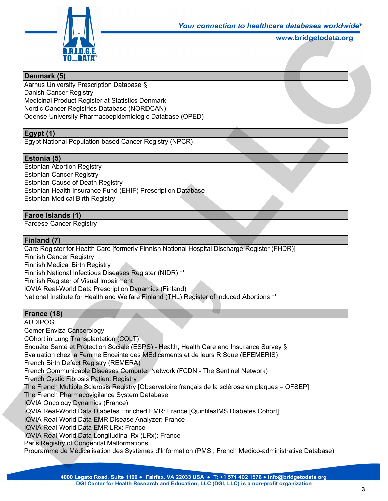

## **Denmark (5)**

Aarhus University Prescription Database § Danish Cancer Registry Medicinal Product Register at Statistics Denmark Nordic Cancer Registries Database (NORDCAN) Odense University Pharmacoepidemiologic Database (OPED)

# **Egypt (1)**

Egypt National Population-based Cancer Registry (NPCR)

# **Estonia (5)**

Estonian Abortion Registry Estonian Cancer Registry Estonian Cause of Death Registry Estonian Health Insurance Fund (EHIF) Prescription Database Estonian Medical Birth Registry Four connection to healthcare diabases worldwide<br>www.bridgetodata.org<br>(OPED)<br>Database<br>all Hospital Discharge Register (FHDR)]

# **Faroe Islands (1)**

Faroese Cancer Registry

# **Finland (7)**

Care Register for Health Care [formerly Finnish National Hospital Discharge Register (FHDR)] Finnish Cancer Registry Finnish Medical Birth Registry Finnish National Infectious Diseases Register (NIDR) \*\* Finnish Register of Visual Impairment IQVIA Real-World Data Prescription Dynamics (Finland) National Institute for Health and Welfare Finland (THL) Register of Induced Abortions \*\*

### **France (18)**

AUDIPOG Cerner Enviza Cancerology COhort in Lung Transplantation (COLT) Enquête Santé et Protection Sociale (ESPS) - Health, Health Care and Insurance Survey § Evaluation chez la Femme Enceinte des MEdicaments et de leurs RISque (EFEMERIS) French Birth Defect Registry (REMERA) French Communicable Diseases Computer Network (FCDN - The Sentinel Network) French Cystic Fibrosis Patient Registry The French Multiple Sclerosis Registry [Observatoire français de la sclérose en plaques – OFSEP] The French Pharmacovigilance System Database IQVIA Oncology Dynamics (France) IQVIA Real-World Data Diabetes Enriched EMR: France [QuintilesIMS Diabetes Cohort] IQVIA Real-World Data EMR Disease Analyzer: France IQVIA Real-World Data EMR LRx: France IQVIA Real-World Data Longitudinal Rx (LRx): France Paris Registry of Congenital Malformations Programme de Médicalisation des Systèmes d'Information (PMSI; French Medico-administrative Database) Finnish Madianal Infectious Diseases Register (NIDR) \*\*<br>Finnish Madianal Infectious Diseases Register (NIDR) \*\*<br>Finnish Madianal Infectious Diseases Register (NIDR) \*\*<br>Finnish Medical Birth Register of Visual Impairment<br>IQ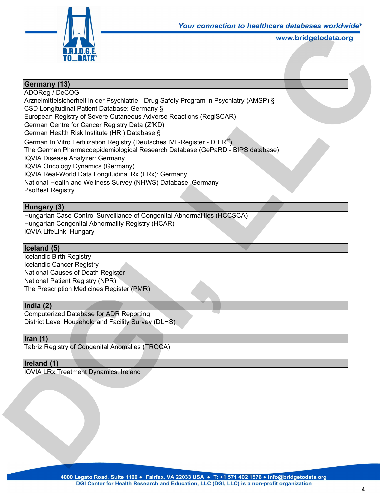

# **Germany (13)**

ADOReg / DeCOG Arzneimittelsicherheit in der Psychiatrie - Drug Safety Program in Psychiatry (AMSP) § CSD Longitudinal Patient Database: Germany § European Registry of Severe Cutaneous Adverse Reactions (RegiSCAR) German Centre for Cancer Registry Data (ZfKD) German Health Risk Institute (HRI) Database § German In Vitro Fertilization Registry (Deutsches IVF-Register - D $\cdot$ I $\cdot$ R $^{\circledast})$ The German Pharmacoepidemiological Research Database (GePaRD - BIPS database) IQVIA Disease Analyzer: Germany IQVIA Oncology Dynamics (Germany) IQVIA Real-World Data Longitudinal Rx (LRx): Germany National Health and Wellness Survey (NHWS) Database: Germany PsoBest Registry Four connection to healthcare diabases worldwide<br>www.bridgetodata.org<br>Program in Psychiatry (AMSP) §<br>actions (RegiSCAR)<br>Register - D·I·R<sup>®</sup>)<br>abase (GePaRD - BIPS database)<br>ny<br>program in Experiment of the Section of the Sec

# **Hungary (3)**

Hungarian Case-Control Surveillance of Congenital Abnormalities (HCCSCA) Hungarian Congenital Abnormality Registry (HCAR) IQVIA LifeLink: Hungary

### **Iceland (5)**

Icelandic Birth Registry Icelandic Cancer Registry National Causes of Death Register National Patient Registry (NPR) The Prescription Medicines Register (PMR) Exercision Cancer Registry<br>
National Cancer Registry<br>
National Patient Registry (NPR)<br>
The Prescription Medicines Register (PMR)<br> **India (2)**<br>
Computerized Database for ADR Reporting<br>
District Level Household and Facility

#### **India (2)**

Computerized Database for ADR Reporting District Level Household and Facility Survey (DLHS)

#### **Iran (1)**

Tabriz Registry of Congenital Anomalies (TROCA)

#### **Ireland (1)**

IQVIA LRx Treatment Dynamics: Ireland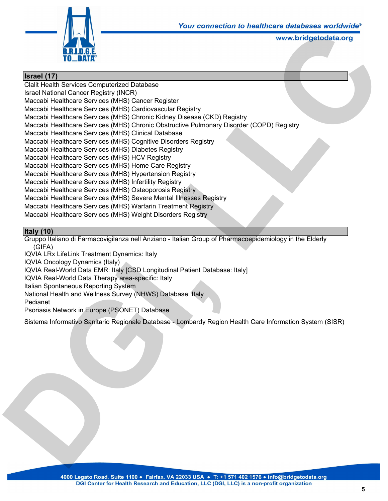

### **Israel (17)**

Clalit Health Services Computerized Database Israel National Cancer Registry (INCR) Maccabi Healthcare Services (MHS) Cancer Register Maccabi Healthcare Services (MHS) Cardiovascular Registry Maccabi Healthcare Services (MHS) Chronic Kidney Disease (CKD) Registry Maccabi Healthcare Services (MHS) Chronic Obstructive Pulmonary Disorder (COPD) Registry Maccabi Healthcare Services (MHS) Clinical Database Maccabi Healthcare Services (MHS) Cognitive Disorders Registry Maccabi Healthcare Services (MHS) Diabetes Registry Maccabi Healthcare Services (MHS) HCV Registry Maccabi Healthcare Services (MHS) Home Care Registry Maccabi Healthcare Services (MHS) Hypertension Registry Maccabi Healthcare Services (MHS) Infertility Registry Maccabi Healthcare Services (MHS) Osteoporosis Registry Maccabi Healthcare Services (MHS) Severe Mental Illnesses Registry Maccabi Healthcare Services (MHS) Warfarin Treatment Registry Maccabi Healthcare Services (MHS) Weight Disorders Registry **Leads Comection to healthcare diabases worntwide**<br>
www.bridgetodata.org<br>
Disease (CKD) Registry<br>
Wive Pulmonary Disorder (COPD) Registry<br>
are Registry<br>
y<br>
stry<br>
Ligistry<br> *L*<br> *C*<br> *L*<br> **C**<br> **Ligistry**<br> **Ligistry**<br> **Ligis** 

# **Italy (10)**

Gruppo Italiano di Farmacovigilanza nell Anziano - Italian Group of Pharmacoepidemiology in the Elderly (GIFA)

IQVIA LRx LifeLink Treatment Dynamics: Italy

IQVIA Oncology Dynamics (Italy)

IQVIA Real-World Data EMR: Italy [CSD Longitudinal Patient Database: Italy]

IQVIA Real-World Data Therapy area-specific: Italy

Italian Spontaneous Reporting System

National Health and Wellness Survey (NHWS) Database: Italy

Pedianet

Psoriasis Network in Europe (PSONET) Database

Sistema Informativo Sanitario Regionale Database - Lombardy Region Health Care Information System (SISR) IQVIA Oncology Dynamics (Italy)<br>IQVIA Real-World Data EMR: Italy] (CSD Longitudinal Patient Database: Italy]<br>IQVIA Real-World Data Therapy area-specific: Italy<br>Italian Spontaneous Reporting System<br>National Health and Welln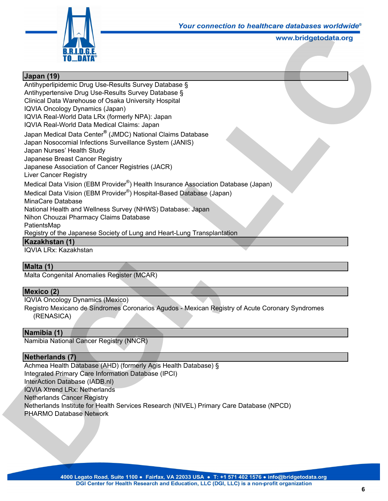

# **Japan (19)**

Antihyperlipidemic Drug Use-Results Survey Database § Antihypertensive Drug Use-Results Survey Database § Clinical Data Warehouse of Osaka University Hospital IQVIA Oncology Dynamics (Japan) IQVIA Real-World Data LRx (formerly NPA): Japan IQVIA Real-World Data Medical Claims: Japan Japan Medical Data Center**®** (JMDC) National Claims Database Japan Nosocomial Infections Surveillance System (JANIS) Japan Nurses' Health Study Japanese Breast Cancer Registry Japanese Association of Cancer Registries (JACR) Liver Cancer Registry Medical Data Vision (EBM Provider<sup>®</sup>) Health Insurance Association Database (Japan) Medical Data Vision (EBM Provider<sup>®</sup>) Hospital-Based Database (Japan) MinaCare Database National Health and Wellness Survey (NHWS) Database: Japan Nihon Chouzai Pharmacy Claims Database PatientsMap Registry of the Japanese Society of Lung and Heart-Lung Transplantation **Kazakhstan (1)** IQVIA LRx: Kazakhstan Four connection to healthcare diabases worldwide<br>www.bridgetodata.org<br>e §<br>S<br>Batabase<br>e Association Database (Japan)<br>Database (Japan)<br>Database (Japan)<br>se: Japan

### **Malta (1)**

Malta Congenital Anomalies Register (MCAR)

### **Mexico (2)**

IQVIA Oncology Dynamics (Mexico) Registro Mexicano de Síndromes Coronarios Agudos - Mexican Registry of Acute Coronary Syndromes (RENASICA)

### **Namibia (1)**

Namibia National Cancer Registry (NNCR)

### **Netherlands (7)**

Achmea Health Database (AHD) (formerly Agis Health Database) § Integrated Primary Care Information Database (IPCI) InterAction Database (IADB.nl) IQVIA Xtrend LRx: Netherlands Netherlands Cancer Registry Netherlands Institute for Health Services Research (NIVEL) Primary Care Database (NPCD) PHARMO Database Network **Malta (1)**<br>
Malta Congenital Anomalies Register (MCAR)<br> **DGIVIA** Oncology Dynamics (Mexico)<br>
Registro Mexican de Sindromes Coronarios Agudos - Mexican Registry of Act<br>
(RENASICA)<br> **Namibia (1)**<br> **Namibia National Cancer R**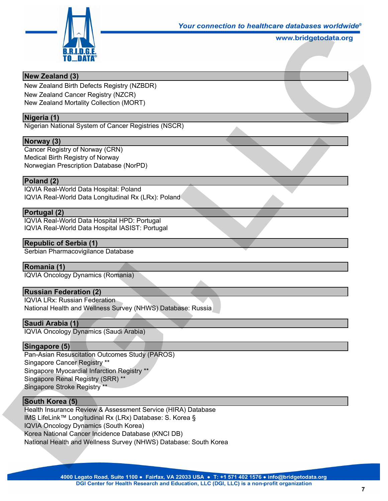

### **New Zealand (3)**

New Zealand Birth Defects Registry (NZBDR)

New Zealand Cancer Registry (NZCR)

New Zealand Mortality Collection (MORT)

## **Nigeria (1)**

Nigerian National System of Cancer Registries (NSCR)

#### **Norway (3)**

Cancer Registry of Norway (CRN) Medical Birth Registry of Norway Norwegian Prescription Database (NorPD)

#### **Poland (2)**

IQVIA Real-World Data Hospital: Poland IQVIA Real-World Data Longitudinal Rx (LRx): Poland

#### **Portugal (2)**

IQVIA Real-World Data Hospital HPD: Portugal IQVIA Real-World Data Hospital IASIST: Portugal

#### **Republic of Serbia (1)**

Serbian Pharmacovigilance Database

#### **Romania (1)**

IQVIA Oncology Dynamics (Romania)

# **Russian Federation (2)**

IQVIA LRx: Russian Federation National Health and Wellness Survey (NHWS) Database: Russia

#### **Saudi Arabia (1)**

IQVIA Oncology Dynamics (Saudi Arabia)

#### **Singapore (5)**

Pan-Asian Resuscitation Outcomes Study (PAROS) Singapore Cancer Registry \*\* Singapore Myocardial Infarction Registry \*\* Singapore Renal Registry (SRR) \*\* Singapore Stroke Registry \*\*

#### **South Korea (5)**

Health Insurance Review & Assessment Service (HIRA) Database IMS LifeLink™ Longitudinal Rx (LRx) Database: S. Korea § IQVIA Oncology Dynamics (South Korea) Korea National Cancer Incidence Database (KNCI DB) National Health and Wellness Survey (NHWS) Database: South Korea **Romania (1)**<br>
IQVIA Oncology Dynamics (Romania)<br> **Russian Federation (2)**<br>
IQVIA LRx: Russian Federation<br>
National Health and Wellness Survey (NHWS) Database: Russia<br> **Saudi Arabia (1)**<br>
IQVIA Oncology Dynamics (Saudi Ara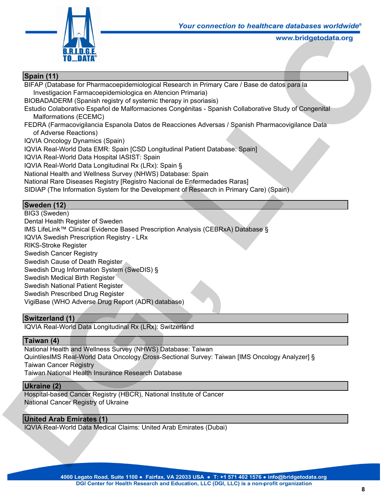

# **Spain (11)**

BIFAP (Database for Pharmacoepidemiological Research in Primary Care / Base de datos para la Investigacion Farmacoepidemiologica en Atencion Primaria) BIOBADADERM (Spanish registry of systemic therapy in psoriasis) Estudio Colaborativo Español de Malformaciones Congénitas - Spanish Collaborative Study of Congenital Malformations (ECEMC) FEDRA (Farmacovigilancia Espanola Datos de Reacciones Adversas / Spanish Pharmacovigilance Data of Adverse Reactions) IQVIA Oncology Dynamics (Spain) IQVIA Real-World Data EMR: Spain [CSD Longitudinal Patient Database: Spain] IQVIA Real-World Data Hospital IASIST: Spain IQVIA Real-World Data Longitudinal Rx (LRx): Spain § National Health and Wellness Survey (NHWS) Database: Spain National Rare Diseases Registry [Registro Nacional de Enfermedades Raras] SIDIAP (The Information System for the Development of Research in Primary Care) (Spain) **Land Connection to healthcare dialoguses worntwide**<br>
WWW.bridgetodata.org<br>
Arch in Primaria)<br>
(in psoriasis)<br>
Jenimaria)<br>
(in psoriasis)<br>
Explored Scharian Collaborative Study of Congenital<br>
Il Patient Database: Spain]<br>
S

# **Sweden (12)**

BIG3 (Sweden) Dental Health Register of Sweden IMS LifeLink™ Clinical Evidence Based Prescription Analysis (CEBRxA) Database § IQVIA Swedish Prescription Registry - LRx RIKS-Stroke Register Swedish Cancer Registry Swedish Cause of Death Register Swedish Drug Information System (SweDIS) § Swedish Medical Birth Register Swedish National Patient Register Swedish Prescribed Drug Register VigiBase (WHO Adverse Drug Report (ADR) database) Swedish Cause of Death Register<br>
Swedish Drug Information System (SweDIS) §<br>
Swedish Nedical Birth Register<br>
Swedish National Patient Register<br>
Swedish Prescribed Drug Register<br>
VigiBase (WHO Adverse Drug Report (ADR) data

### **Switzerland (1)**

IQVIA Real-World Data Longitudinal Rx (LRx): Switzerland

# **Taiwan (4)**

National Health and Wellness Survey (NHWS) Database: Taiwan QuintilesIMS Real-World Data Oncology Cross-Sectional Survey: Taiwan [IMS Oncology Analyzer] § Taiwan Cancer Registry Taiwan National Health Insurance Research Database

#### **Ukraine (2)**

Hospital-based Cancer Registry (HBCR), National Institute of Cancer National Cancer Registry of Ukraine

### **United Arab Emirates (1)**

IQVIA Real-World Data Medical Claims: United Arab Emirates (Dubai)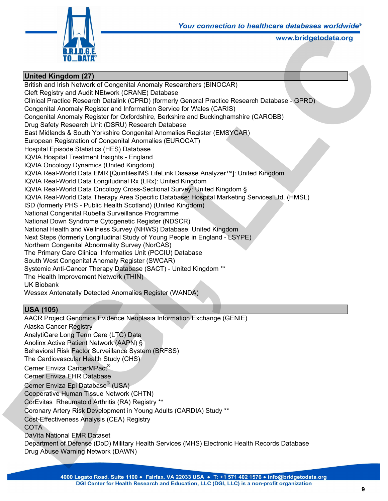

### **United Kingdom (27)**

British and Irish Network of Congenital Anomaly Researchers (BINOCAR) Cleft Registry and Audit NEtwork (CRANE) Database Clinical Practice Research Datalink (CPRD) (formerly General Practice Research Database - GPRD) Congenital Anomaly Register and Information Service for Wales (CARIS) Congenital Anomaly Register for Oxfordshire, Berkshire and Buckinghamshire (CAROBB) Drug Safety Research Unit (DSRU) Research Database East Midlands & South Yorkshire Congenital Anomalies Register (EMSYCAR) European Registration of Congenital Anomalies (EUROCAT) Hospital Episode Statistics (HES) Database IQVIA Hospital Treatment Insights - England IQVIA Oncology Dynamics (United Kingdom) IQVIA Real-World Data EMR [QuintilesIMS LifeLink Disease Analyzer™]: United Kingdom IQVIA Real-World Data Longitudinal Rx (LRx): United Kingdom IQVIA Real-World Data Oncology Cross-Sectional Survey: United Kingdom § IQVIA Real-World Data Therapy Area Specific Database: Hospital Marketing Services Ltd. (HMSL) ISD (formerly PHS - Public Health Scotland) (United Kingdom) National Congenital Rubella Surveillance Programme National Down Syndrome Cytogenetic Register (NDSCR) National Health and Wellness Survey (NHWS) Database: United Kingdom Next Steps (formerly Longitudinal Study of Young People in England - LSYPE) Northern Congenital Abnormality Survey (NorCAS) The Primary Care Clinical Informatics Unit (PCCIU) Database South West Congenital Anomaly Register (SWCAR) Systemic Anti-Cancer Therapy Database (SACT) - United Kingdom \*\* The Health Improvement Network (THIN) UK Biobank Wessex Antenatally Detected Anomalies Register (WANDA) **Louise Connection to healticate databases worntwide**<br> **LACCONTER WARE WARE (SINOCAR)**<br> **LACCONTER SERVICARS**<br>
See and Buckinghamshire (CAROBB)<br>
see<br>
as Register (EMSYCAR)<br>
OCAT)<br>
<br>
<br> **LACCONTER SERVICARS**<br>
<br>
<br>
<br>
LACCONTS

# **USA (105)**

AACR Project Genomics Evidence Neoplasia Information Exchange (GENIE) Alaska Cancer Registry AnalytiCare Long Term Care (LTC) Data Anolinx Active Patient Network (AAPN) § Behavioral Risk Factor Surveillance System (BRFSS) The Cardiovascular Health Study (CHS) Cerner Enviza CancerMPact® Cerner Enviza EHR Database Cerner Enviza Epi Database® (USA) Cooperative Human Tissue Network (CHTN) CorEvitas Rheumatoid Arthritis (RA) Registry \*\* Coronary Artery Risk Development in Young Adults (CARDIA) Study \*\* Cost-Effectiveness Analysis (CEA) Registry COTA DaVita National EMR Dataset Department of Defense (DoD) Military Health Services (MHS) Electronic Health Records Database Drug Abuse Warning Network (DAWN) South West Congenital Anomaly Register (SWCAR)<br>
Systemic Anti-Cancer Therapy Database (SACT) - United Kingdom \*\*<br>
The Health Improvement Network (THIN)<br>
UK Biobank<br>
Wessex Antenatially Detected Anomalies Register (WANDA)<br>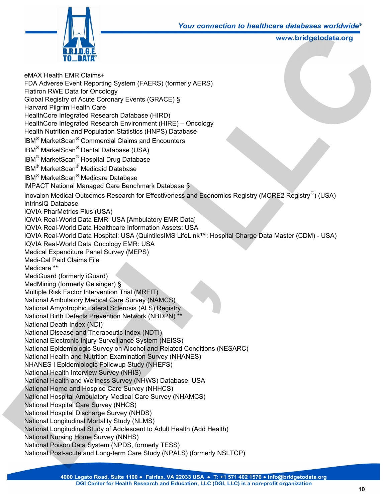

eMAX Health EMR Claims+ FDA Adverse Event Reporting System (FAERS) (formerly AERS) Flatiron RWE Data for Oncology Global Registry of Acute Coronary Events (GRACE) § Harvard Pilgrim Health Care HealthCore Integrated Research Database (HIRD) HealthCore Integrated Research Environment (HIRE) – Oncology Health Nutrition and Population Statistics (HNPS) Database IBM<sup>®</sup> MarketScan<sup>®</sup> Commercial Claims and Encounters IBM<sup>®</sup> MarketScan<sup>®</sup> Dental Database (USA) IBM<sup>®</sup> MarketScan<sup>®</sup> Hospital Drug Database IBM<sup>®</sup> MarketScan<sup>®</sup> Medicaid Database IBM<sup>®</sup> MarketScan<sup>®</sup> Medicare Database IMPACT National Managed Care Benchmark Database § Inovalon Medical Outcomes Research for Effectiveness and Economics Registry (MORE2 Registry $^{\circledR})$  (USA) IntrinsiQ Database IQVIA PharMetrics Plus (USA) IQVIA Real-World Data EMR: USA [Ambulatory EMR Data] IQVIA Real-World Data Healthcare Information Assets: USA IQVIA Real-World Data Hospital: USA (QuintilesIMS LifeLink™: Hospital Charge Data Master (CDM) - USA) IQVIA Real-World Data Oncology EMR: USA Medical Expenditure Panel Survey (MEPS) Medi-Cal Paid Claims File Medicare \*\* MediGuard (formerly iGuard) MedMining (formerly Geisinger) § Multiple Risk Factor Intervention Trial (MRFIT) National Ambulatory Medical Care Survey (NAMCS) National Amyotrophic Lateral Sclerosis (ALS) Registry National Birth Defects Prevention Network (NBDPN) \*\* National Death Index (NDI) National Disease and Therapeutic Index (NDTI) National Electronic Injury Surveillance System (NEISS) National Epidemiologic Survey on Alcohol and Related Conditions (NESARC) National Health and Nutrition Examination Survey (NHANES) NHANES I Epidemiologic Followup Study (NHEFS) National Health Interview Survey (NHIS) National Health and Wellness Survey (NHWS) Database: USA National Home and Hospice Care Survey (NHHCS) National Hospital Ambulatory Medical Care Survey (NHAMCS) National Hospital Care Survey (NHCS) National Hospital Discharge Survey (NHDS) National Longitudinal Mortality Study (NLMS) National Longitudinal Study of Adolescent to Adult Health (Add Health) National Nursing Home Survey (NNHS) National Poison Data System (NPDS, formerly TESS) National Post-acute and Long-term Care Study (NPALS) (formerly NSLTCP) Medi-Cal Paid Claims File<br>
Medicare \*\*<br>
Medicare \*\*<br>
Medicare \*\*<br>
Medicare \*\*<br>
Medicare \*\*<br>
Medicare (Semissinger) §<br>
Multiple Risk Factor Intervention Trial (MRFIT)<br>
National Ambulatory Medical Care Survey (NAMCS)<br>
Nation Mour Connection to healthcare databases worntwide<br>
www.bridgetodata.org<br>
erly AERS)<br>
-<br>
Oncology<br>
abase<br>
rs<br>
and Economics Registry (MORE2 Registry<sup>®</sup>) (USA)<br>
Data]<br>
3: USA<br>
MifeLink™: Hospital Charge Data Master (CDM) -